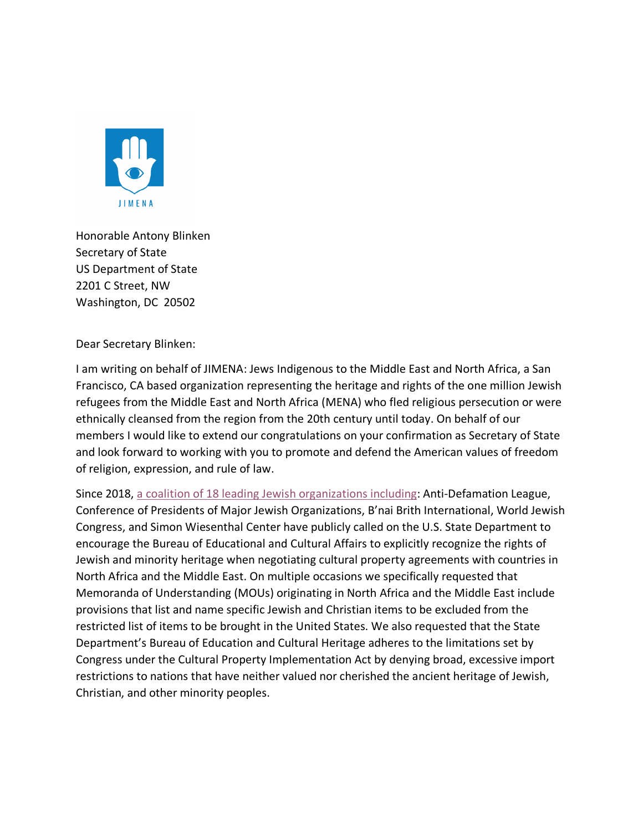

Honorable Antony Blinken Secretary of State US Department of State 2201 C Street, NW Washington, DC 20502

Dear Secretary Blinken:

I am writing on behalf of JIMENA: Jews Indigenous to the Middle East and North Africa, a San Francisco, CA based organization representing the heritage and rights of the one million Jewish refugees from the Middle East and North Africa (MENA) who fled religious persecution or were ethnically cleansed from the region from the 20th century until today. On behalf of our members I would like to extend our congratulations on your confirmation as Secretary of State and look forward to working with you to promote and defend the American values of freedom of religion, expression, and rule of law.

Since 2018, a coalition of 18 leading Jewish organizations including: Anti-Defamation League, Conference of Presidents of Major Jewish Organizations, B'nai Brith International, World Jewish Congress, and Simon Wiesenthal Center have publicly called on the U.S. State Department to encourage the Bureau of Educational and Cultural Affairs to explicitly recognize the rights of Jewish and minority heritage when negotiating cultural property agreements with countries in North Africa and the Middle East. On multiple occasions we specifically requested that Memoranda of Understanding (MOUs) originating in North Africa and the Middle East include provisions that list and name specific Jewish and Christian items to be excluded from the restricted list of items to be brought in the United States. We also requested that the State Department's Bureau of Education and Cultural Heritage adheres to the limitations set by Congress under the Cultural Property Implementation Act by denying broad, excessive import restrictions to nations that have neither valued nor cherished the ancient heritage of Jewish, Christian, and other minority peoples.